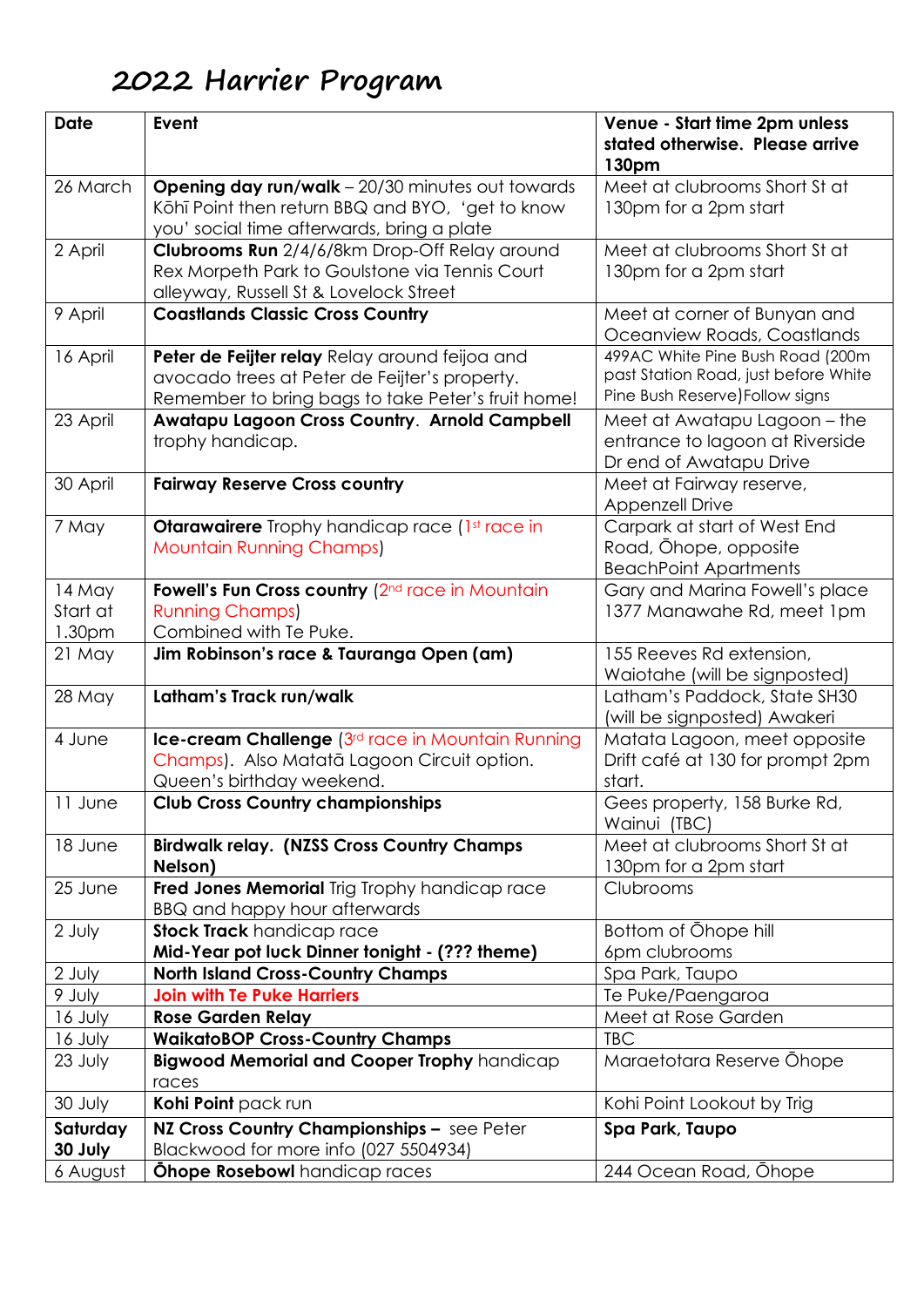## **2022 Harrier Program**

| <b>Date</b>                  | Event                                                                                                                                                     | Venue - Start time 2pm unless<br>stated otherwise. Please arrive<br>130pm                                   |
|------------------------------|-----------------------------------------------------------------------------------------------------------------------------------------------------------|-------------------------------------------------------------------------------------------------------------|
| 26 March                     | <b>Opening day run/walk</b> - 20/30 minutes out towards<br>Köhī Point then return BBQ and BYO, 'get to know<br>you' social time afterwards, bring a plate | Meet at clubrooms Short St at<br>130pm for a 2pm start                                                      |
| 2 April                      | Clubrooms Run 2/4/6/8km Drop-Off Relay around<br>Rex Morpeth Park to Goulstone via Tennis Court<br>alleyway, Russell St & Lovelock Street                 | Meet at clubrooms Short St at<br>130pm for a 2pm start                                                      |
| 9 April                      | <b>Coastlands Classic Cross Country</b>                                                                                                                   | Meet at corner of Bunyan and<br>Oceanview Roads, Coastlands                                                 |
| 16 April                     | Peter de Feijter relay Relay around feijoa and<br>avocado trees at Peter de Feijter's property.<br>Remember to bring bags to take Peter's fruit home!     | 499AC White Pine Bush Road (200m<br>past Station Road, just before White<br>Pine Bush Reserve) Follow signs |
| 23 April                     | Awatapu Lagoon Cross Country. Arnold Campbell<br>trophy handicap.                                                                                         | Meet at Awatapu Lagoon – the<br>entrance to lagoon at Riverside<br>Dr end of Awatapu Drive                  |
| 30 April                     | <b>Fairway Reserve Cross country</b>                                                                                                                      | Meet at Fairway reserve,<br><b>Appenzell Drive</b>                                                          |
| 7 May                        | <b>Otarawairere</b> Trophy handicap race (1st race in<br><b>Mountain Running Champs)</b>                                                                  | Carpark at start of West End<br>Road, Ohope, opposite<br><b>BeachPoint Apartments</b>                       |
| 14 May<br>Start at<br>1.30pm | Fowell's Fun Cross country (2 <sup>nd</sup> race in Mountain<br><b>Running Champs)</b><br>Combined with Te Puke.                                          | Gary and Marina Fowell's place<br>1377 Manawahe Rd, meet 1pm                                                |
| $21$ May                     | Jim Robinson's race & Tauranga Open (am)                                                                                                                  | 155 Reeves Rd extension,<br>Waiotahe (will be signposted)                                                   |
| 28 May                       | Latham's Track run/walk                                                                                                                                   | Latham's Paddock, State SH30<br>(will be signposted) Awakeri                                                |
| 4 June                       | Ice-cream Challenge (3rd race in Mountain Running<br>Champs). Also Matatā Lagoon Circuit option.<br>Queen's birthday weekend.                             | Matata Lagoon, meet opposite<br>Drift café at 130 for prompt 2pm<br>start.                                  |
| 11 June                      | <b>Club Cross Country championships</b>                                                                                                                   | Gees property, 158 Burke Rd,<br>Wainui (TBC)                                                                |
| 18 June                      | <b>Birdwalk relay. (NZSS Cross Country Champs</b><br>Nelson)                                                                                              | Meet at clubrooms Short St at<br>130pm for a 2pm start                                                      |
| 25 June                      | Fred Jones Memorial Trig Trophy handicap race<br>BBQ and happy hour afterwards                                                                            | Clubrooms                                                                                                   |
| 2 July                       | <b>Stock Track</b> handicap race<br>Mid-Year pot luck Dinner tonight - (??? theme)                                                                        | Bottom of Ohope hill<br>6pm clubrooms                                                                       |
| 2 July                       | <b>North Island Cross-Country Champs</b>                                                                                                                  | Spa Park, Taupo                                                                                             |
| 9 July                       | <b>Join with Te Puke Harriers</b>                                                                                                                         | Te Puke/Paengaroa                                                                                           |
| 16 July                      | <b>Rose Garden Relay</b>                                                                                                                                  | Meet at Rose Garden<br><b>TBC</b>                                                                           |
| 16 July<br>23 July           | <b>WaikatoBOP Cross-Country Champs</b><br>Bigwood Memorial and Cooper Trophy handicap<br>races                                                            | Maraetotara Reserve Ohope                                                                                   |
| 30 July                      | Kohi Point pack run                                                                                                                                       | Kohi Point Lookout by Trig                                                                                  |
| Saturday<br>30 July          | NZ Cross Country Championships - see Peter<br>Blackwood for more info (027 5504934)                                                                       | Spa Park, Taupo                                                                                             |
| 6 August                     | <b>Ohope Rosebowl</b> handicap races                                                                                                                      | 244 Ocean Road, Ohope                                                                                       |